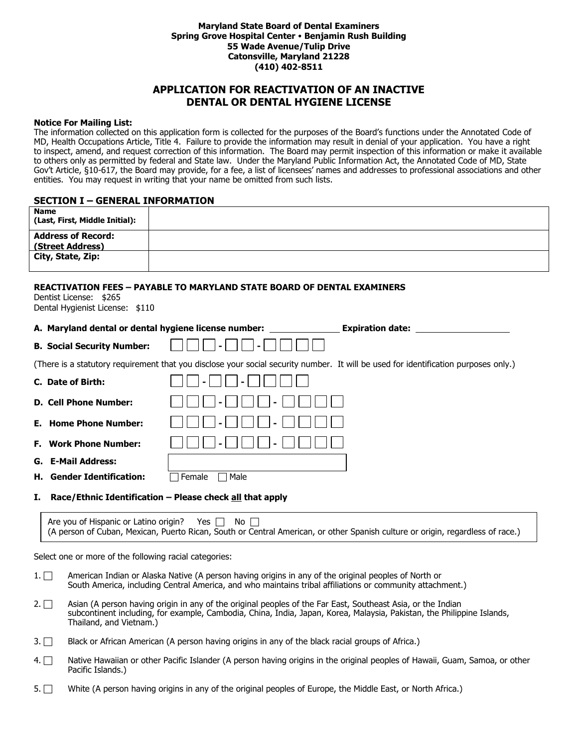#### **Maryland State Board of Dental Examiners Spring Grove Hospital Center Benjamin Rush Building 55 Wade Avenue/Tulip Drive Catonsville, Maryland 21228 (410) 402-8511**

# **APPLICATION FOR REACTIVATION OF AN INACTIVE DENTAL OR DENTAL HYGIENE LICENSE**

#### **Notice For Mailing List:**

The information collected on this application form is collected for the purposes of the Board's functions under the Annotated Code of MD, Health Occupations Article, Title 4. Failure to provide the information may result in denial of your application. You have a right to inspect, amend, and request correction of this information. The Board may permit inspection of this information or make it available to others only as permitted by federal and State law. Under the Maryland Public Information Act, the Annotated Code of MD, State Gov't Article, §10-617, the Board may provide, for a fee, a list of licensees' names and addresses to professional associations and other entities. You may request in writing that your name be omitted from such lists.

#### **SECTION I – GENERAL INFORMATION**

| <b>Name</b>                                                |                                                                                                                                     |
|------------------------------------------------------------|-------------------------------------------------------------------------------------------------------------------------------------|
| (Last, First, Middle Initial):                             |                                                                                                                                     |
| <b>Address of Record:</b><br>(Street Address)              |                                                                                                                                     |
| City, State, Zip:                                          |                                                                                                                                     |
| Dentist License: \$265<br>Dental Hygienist License: \$110  | <b>REACTIVATION FEES - PAYABLE TO MARYLAND STATE BOARD OF DENTAL EXAMINERS</b>                                                      |
|                                                            | A. Maryland dental or dental hygiene license number:                                                                                |
| <b>B. Social Security Number:</b>                          |                                                                                                                                     |
|                                                            | (There is a statutory requirement that you disclose your social security number. It will be used for identification purposes only.) |
| C. Date of Birth:                                          |                                                                                                                                     |
| <b>D. Cell Phone Number:</b>                               |                                                                                                                                     |
| <b>Home Phone Number:</b><br>Е.                            |                                                                                                                                     |
| <b>Work Phone Number:</b><br>Е.                            |                                                                                                                                     |
| <b>E-Mail Address:</b><br>G.                               |                                                                                                                                     |
| <b>Gender Identification:</b><br>н.                        | $\Box$ Male<br>Female                                                                                                               |
| т.                                                         | Race/Ethnic Identification - Please check all that apply                                                                            |
| Are you of Hispanic or Latino origin? Yes $\Box$ No $\Box$ | (A person of Cuban, Mexican, Puerto Rican, South or Central American, or other Spanish culture or origin, regardless of race.)      |

Select one or more of the following racial categories:

- 1.  $\Box$  American Indian or Alaska Native (A person having origins in any of the original peoples of North or South America, including Central America, and who maintains tribal affiliations or community attachment.)
- 2.  $\Box$  Asian (A person having origin in any of the original peoples of the Far East, Southeast Asia, or the Indian subcontinent including, for example, Cambodia, China, India, Japan, Korea, Malaysia, Pakistan, the Philippine Islands, Thailand, and Vietnam.)
- 3. Black or African American (A person having origins in any of the black racial groups of Africa.)
- 4.  $\Box$  Native Hawaiian or other Pacific Islander (A person having origins in the original peoples of Hawaii, Guam, Samoa, or other Pacific Islands.)
- 5. White (A person having origins in any of the original peoples of Europe, the Middle East, or North Africa.)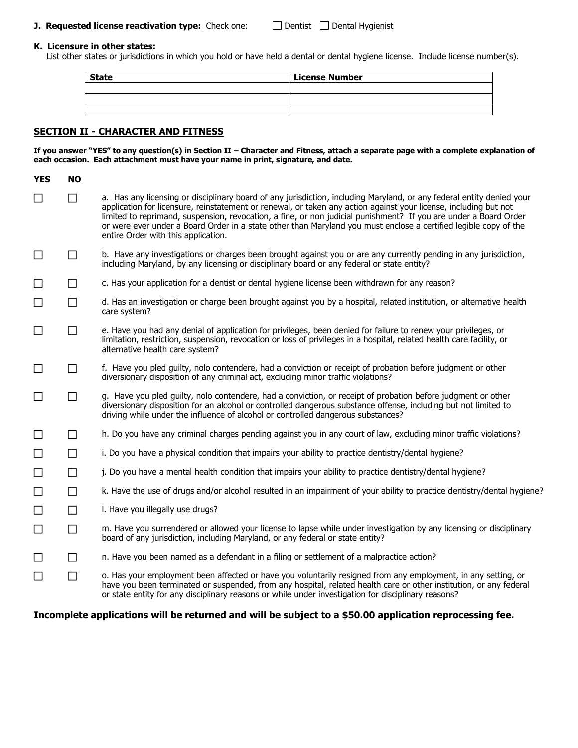#### **J. Requested license reactivation type:** Check one: Dentist Dental Hygienist

#### **K. Licensure in other states:**

List other states or jurisdictions in which you hold or have held a dental or dental hygiene license. Include license number(s).

| <b>State</b> | <b>License Number</b> |
|--------------|-----------------------|
|              |                       |
|              |                       |
|              |                       |

### **SECTION II - CHARACTER AND FITNESS**

**If you answer "YES" to any question(s) in Section II – Character and Fitness, attach a separate page with a complete explanation of each occasion. Each attachment must have your name in print, signature, and date.**

| <b>YES</b> | <b>NO</b> |                                                                                                                                                                                                                                                                                                                                                                                                                                                                                                                          |
|------------|-----------|--------------------------------------------------------------------------------------------------------------------------------------------------------------------------------------------------------------------------------------------------------------------------------------------------------------------------------------------------------------------------------------------------------------------------------------------------------------------------------------------------------------------------|
| $\Box$     | $\Box$    | a. Has any licensing or disciplinary board of any jurisdiction, including Maryland, or any federal entity denied your<br>application for licensure, reinstatement or renewal, or taken any action against your license, including but not<br>limited to reprimand, suspension, revocation, a fine, or non judicial punishment? If you are under a Board Order<br>or were ever under a Board Order in a state other than Maryland you must enclose a certified legible copy of the<br>entire Order with this application. |
| $\Box$     | $\Box$    | b. Have any investigations or charges been brought against you or are any currently pending in any jurisdiction,<br>including Maryland, by any licensing or disciplinary board or any federal or state entity?                                                                                                                                                                                                                                                                                                           |
| $\Box$     | $\Box$    | c. Has your application for a dentist or dental hygiene license been withdrawn for any reason?                                                                                                                                                                                                                                                                                                                                                                                                                           |
| $\Box$     | $\Box$    | d. Has an investigation or charge been brought against you by a hospital, related institution, or alternative health<br>care system?                                                                                                                                                                                                                                                                                                                                                                                     |
| $\Box$     | □         | e. Have you had any denial of application for privileges, been denied for failure to renew your privileges, or<br>limitation, restriction, suspension, revocation or loss of privileges in a hospital, related health care facility, or<br>alternative health care system?                                                                                                                                                                                                                                               |
| $\Box$     | $\Box$    | f. Have you pled guilty, nolo contendere, had a conviction or receipt of probation before judgment or other<br>diversionary disposition of any criminal act, excluding minor traffic violations?                                                                                                                                                                                                                                                                                                                         |
| $\Box$     | $\Box$    | g. Have you pled guilty, nolo contendere, had a conviction, or receipt of probation before judgment or other<br>diversionary disposition for an alcohol or controlled dangerous substance offense, including but not limited to<br>driving while under the influence of alcohol or controlled dangerous substances?                                                                                                                                                                                                      |
| $\Box$     | П         | h. Do you have any criminal charges pending against you in any court of law, excluding minor traffic violations?                                                                                                                                                                                                                                                                                                                                                                                                         |
| $\Box$     | $\Box$    | i. Do you have a physical condition that impairs your ability to practice dentistry/dental hygiene?                                                                                                                                                                                                                                                                                                                                                                                                                      |
| $\Box$     | $\Box$    | j. Do you have a mental health condition that impairs your ability to practice dentistry/dental hygiene?                                                                                                                                                                                                                                                                                                                                                                                                                 |
| $\Box$     | $\Box$    | k. Have the use of drugs and/or alcohol resulted in an impairment of your ability to practice dentistry/dental hygiene?                                                                                                                                                                                                                                                                                                                                                                                                  |
| $\Box$     | $\Box$    | I. Have you illegally use drugs?                                                                                                                                                                                                                                                                                                                                                                                                                                                                                         |
| $\Box$     | $\Box$    | m. Have you surrendered or allowed your license to lapse while under investigation by any licensing or disciplinary<br>board of any jurisdiction, including Maryland, or any federal or state entity?                                                                                                                                                                                                                                                                                                                    |
| $\Box$     | $\Box$    | n. Have you been named as a defendant in a filing or settlement of a malpractice action?                                                                                                                                                                                                                                                                                                                                                                                                                                 |
| $\Box$     | $\Box$    | o. Has your employment been affected or have you voluntarily resigned from any employment, in any setting, or<br>have you been terminated or suspended, from any hospital, related health care or other institution, or any federal<br>or state entity for any disciplinary reasons or while under investigation for disciplinary reasons?                                                                                                                                                                               |

**Incomplete applications will be returned and will be subject to a \$50.00 application reprocessing fee.**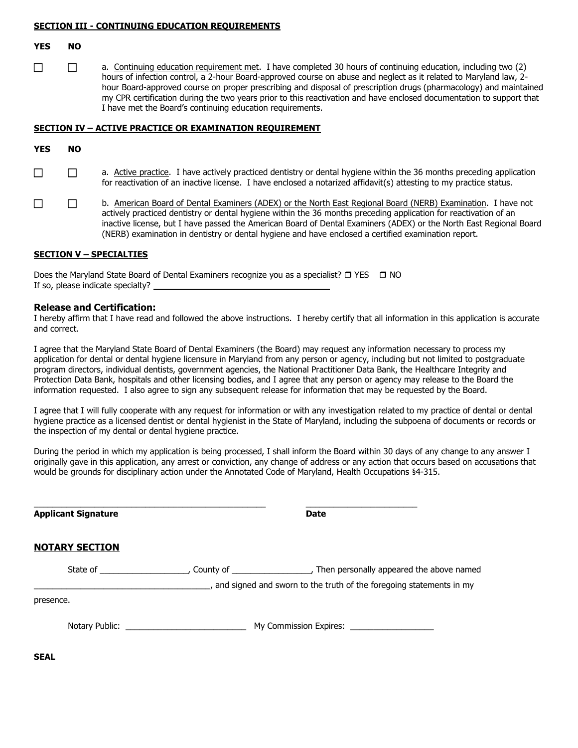#### **SECTION III - CONTINUING EDUCATION REQUIREMENTS**

#### **YES NO**

□ a. Continuing education requirement met. I have completed 30 hours of continuing education, including two (2) hours of infection control, a 2-hour Board-approved course on abuse and neglect as it related to Maryland law, 2 hour Board-approved course on proper prescribing and disposal of prescription drugs (pharmacology) and maintained my CPR certification during the two years prior to this reactivation and have enclosed documentation to support that I have met the Board's continuing education requirements.

#### **SECTION IV – ACTIVE PRACTICE OR EXAMINATION REQUIREMENT**

- a. Active practice. I have actively practiced dentistry or dental hygiene within the 36 months preceding application for reactivation of an inactive license. I have enclosed a notarized affidavit(s) attesting to my practice status.
- **D.** B. American Board of Dental Examiners (ADEX) or the North East Regional Board (NERB) Examination. I have not actively practiced dentistry or dental hygiene within the 36 months preceding application for reactivation of an inactive license, but I have passed the American Board of Dental Examiners (ADEX) or the North East Regional Board (NERB) examination in dentistry or dental hygiene and have enclosed a certified examination report.

#### **SECTION V – SPECIALTIES**

Does the Maryland State Board of Dental Examiners recognize you as a specialist?  $\Box$  YES  $\Box$  NO If so, please indicate specialty?

\_\_\_\_\_\_\_\_\_\_\_\_\_\_\_\_\_\_\_\_\_\_\_\_\_\_\_\_\_\_\_\_\_\_\_\_\_\_\_\_\_\_\_\_\_\_\_\_\_\_ \_\_\_\_\_\_\_\_\_\_\_\_\_\_\_\_\_\_\_\_\_\_\_\_

#### **Release and Certification:**

I hereby affirm that I have read and followed the above instructions. I hereby certify that all information in this application is accurate and correct.

I agree that the Maryland State Board of Dental Examiners (the Board) may request any information necessary to process my application for dental or dental hygiene licensure in Maryland from any person or agency, including but not limited to postgraduate program directors, individual dentists, government agencies, the National Practitioner Data Bank, the Healthcare Integrity and Protection Data Bank, hospitals and other licensing bodies, and I agree that any person or agency may release to the Board the information requested. I also agree to sign any subsequent release for information that may be requested by the Board.

I agree that I will fully cooperate with any request for information or with any investigation related to my practice of dental or dental hygiene practice as a licensed dentist or dental hygienist in the State of Maryland, including the subpoena of documents or records or the inspection of my dental or dental hygiene practice.

During the period in which my application is being processed, I shall inform the Board within 30 days of any change to any answer I originally gave in this application, any arrest or conviction, any change of address or any action that occurs based on accusations that would be grounds for disciplinary action under the Annotated Code of Maryland, Health Occupations §4-315.

| <b>Applicant Signature</b> | Date |
|----------------------------|------|
|----------------------------|------|

#### **NOTARY SECTION**

| State of       | County of <b>Example 20</b> | Then personally appeared the above named<br>and signed and sworn to the truth of the foregoing statements in my |
|----------------|-----------------------------|-----------------------------------------------------------------------------------------------------------------|
| presence.      |                             |                                                                                                                 |
| Notary Public: |                             | My Commission Expires:                                                                                          |

**SEAL**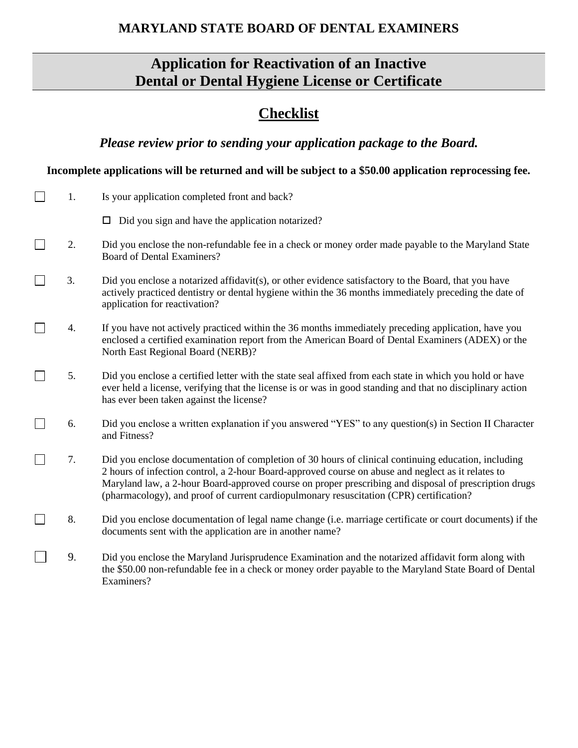# **MARYLAND STATE BOARD OF DENTAL EXAMINERS**

# **Application for Reactivation of an Inactive Dental or Dental Hygiene License or Certificate**

# **Checklist**

*Please review prior to sending your application package to the Board.*

# **Incomplete applications will be returned and will be subject to a \$50.00 application reprocessing fee.**

| 1. | Is your application completed front and back?                                                                                                                                                                                                                                                                                                                                                                 |
|----|---------------------------------------------------------------------------------------------------------------------------------------------------------------------------------------------------------------------------------------------------------------------------------------------------------------------------------------------------------------------------------------------------------------|
|    | $\Box$ Did you sign and have the application notarized?                                                                                                                                                                                                                                                                                                                                                       |
| 2. | Did you enclose the non-refundable fee in a check or money order made payable to the Maryland State<br><b>Board of Dental Examiners?</b>                                                                                                                                                                                                                                                                      |
| 3. | Did you enclose a notarized affidavit(s), or other evidence satisfactory to the Board, that you have<br>actively practiced dentistry or dental hygiene within the 36 months immediately preceding the date of<br>application for reactivation?                                                                                                                                                                |
| 4. | If you have not actively practiced within the 36 months immediately preceding application, have you<br>enclosed a certified examination report from the American Board of Dental Examiners (ADEX) or the<br>North East Regional Board (NERB)?                                                                                                                                                                 |
| 5. | Did you enclose a certified letter with the state seal affixed from each state in which you hold or have<br>ever held a license, verifying that the license is or was in good standing and that no disciplinary action<br>has ever been taken against the license?                                                                                                                                            |
| 6. | Did you enclose a written explanation if you answered "YES" to any question(s) in Section II Character<br>and Fitness?                                                                                                                                                                                                                                                                                        |
| 7. | Did you enclose documentation of completion of 30 hours of clinical continuing education, including<br>2 hours of infection control, a 2-hour Board-approved course on abuse and neglect as it relates to<br>Maryland law, a 2-hour Board-approved course on proper prescribing and disposal of prescription drugs<br>(pharmacology), and proof of current cardiopulmonary resuscitation (CPR) certification? |
| 8. | Did you enclose documentation of legal name change (i.e. marriage certificate or court documents) if the<br>documents sent with the application are in another name?                                                                                                                                                                                                                                          |
| 9. | Did you enclose the Maryland Jurisprudence Examination and the notarized affidavit form along with<br>the \$50.00 non-refundable fee in a check or money order payable to the Maryland State Board of Dental<br>Examiners?                                                                                                                                                                                    |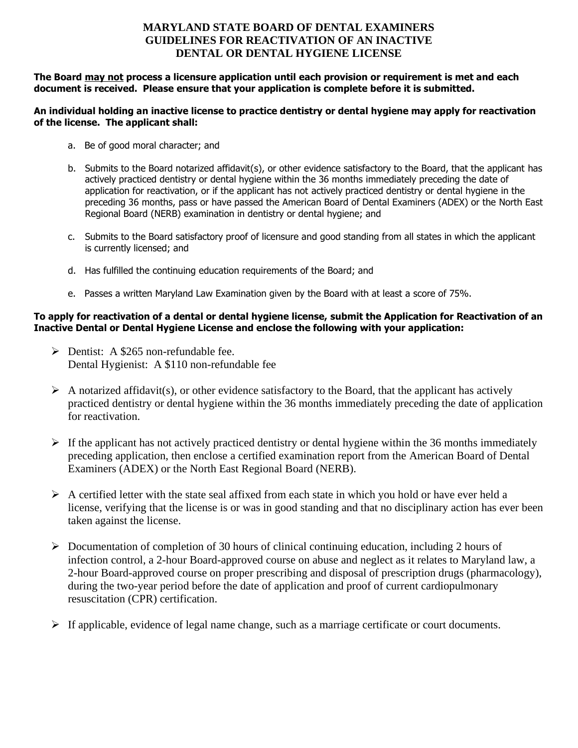# **MARYLAND STATE BOARD OF DENTAL EXAMINERS GUIDELINES FOR REACTIVATION OF AN INACTIVE DENTAL OR DENTAL HYGIENE LICENSE**

**The Board may not process a licensure application until each provision or requirement is met and each document is received. Please ensure that your application is complete before it is submitted.**

#### **An individual holding an inactive license to practice dentistry or dental hygiene may apply for reactivation of the license. The applicant shall:**

- a. Be of good moral character; and
- b. Submits to the Board notarized affidavit(s), or other evidence satisfactory to the Board, that the applicant has actively practiced dentistry or dental hygiene within the 36 months immediately preceding the date of application for reactivation, or if the applicant has not actively practiced dentistry or dental hygiene in the preceding 36 months, pass or have passed the American Board of Dental Examiners (ADEX) or the North East Regional Board (NERB) examination in dentistry or dental hygiene; and
- c. Submits to the Board satisfactory proof of licensure and good standing from all states in which the applicant is currently licensed; and
- d. Has fulfilled the continuing education requirements of the Board; and
- e. Passes a written Maryland Law Examination given by the Board with at least a score of 75%.

### **To apply for reactivation of a dental or dental hygiene license, submit the Application for Reactivation of an Inactive Dental or Dental Hygiene License and enclose the following with your application:**

- ➢ Dentist: A \$265 non-refundable fee. Dental Hygienist: A \$110 non-refundable fee
- $\triangleright$  A notarized affidavit(s), or other evidence satisfactory to the Board, that the applicant has actively practiced dentistry or dental hygiene within the 36 months immediately preceding the date of application for reactivation.
- $\triangleright$  If the applicant has not actively practiced dentistry or dental hygiene within the 36 months immediately preceding application, then enclose a certified examination report from the American Board of Dental Examiners (ADEX) or the North East Regional Board (NERB).
- $\triangleright$  A certified letter with the state seal affixed from each state in which you hold or have ever held a license, verifying that the license is or was in good standing and that no disciplinary action has ever been taken against the license.
- ➢ Documentation of completion of 30 hours of clinical continuing education, including 2 hours of infection control, a 2-hour Board-approved course on abuse and neglect as it relates to Maryland law, a 2-hour Board-approved course on proper prescribing and disposal of prescription drugs (pharmacology), during the two-year period before the date of application and proof of current cardiopulmonary resuscitation (CPR) certification.
- $\triangleright$  If applicable, evidence of legal name change, such as a marriage certificate or court documents.